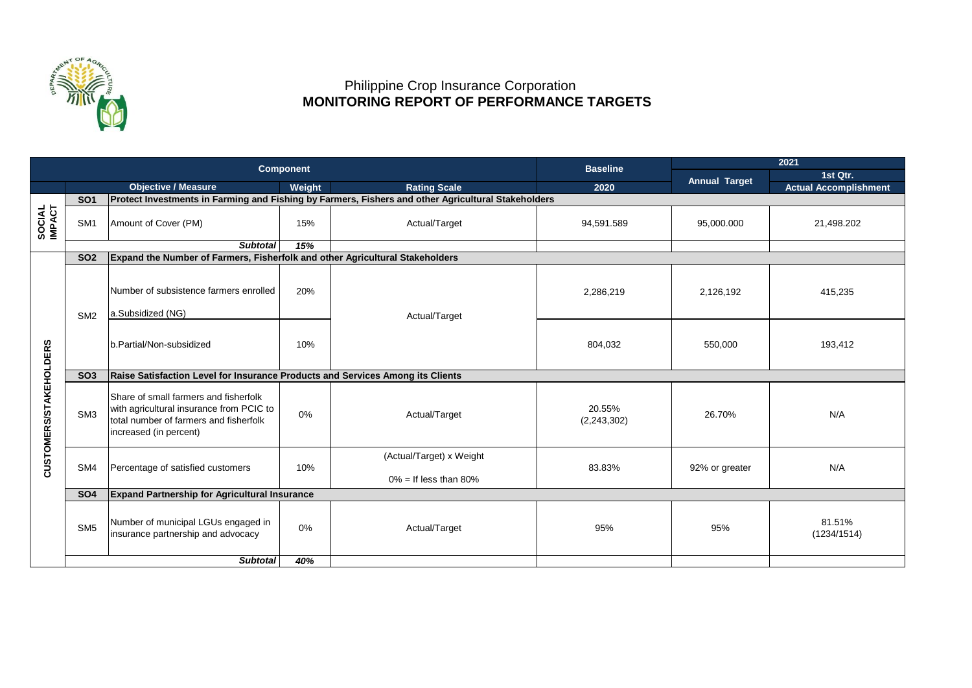

## Philippine Crop Insurance Corporation  **MONITORING REPORT OF PERFORMANCE TARGETS**

|                        |                 |                                                                                                                                                       | <b>Component</b> | <b>Baseline</b>                                      | 2021                    |                |                              |  |  |  |  |  |
|------------------------|-----------------|-------------------------------------------------------------------------------------------------------------------------------------------------------|------------------|------------------------------------------------------|-------------------------|----------------|------------------------------|--|--|--|--|--|
|                        |                 |                                                                                                                                                       |                  |                                                      | <b>Annual Target</b>    | 1st Qtr.       |                              |  |  |  |  |  |
|                        |                 | <b>Objective / Measure</b>                                                                                                                            | Weight           | <b>Rating Scale</b>                                  | 2020                    |                | <b>Actual Accomplishment</b> |  |  |  |  |  |
|                        | SO <sub>1</sub> | Protect Investments in Farming and Fishing by Farmers, Fishers and other Agricultural Stakeholders                                                    |                  |                                                      |                         |                |                              |  |  |  |  |  |
| SOCIAL<br>IMPACT       | SM <sub>1</sub> | Amount of Cover (PM)                                                                                                                                  | 15%              | Actual/Target                                        | 94,591.589              | 95,000.000     | 21,498.202                   |  |  |  |  |  |
|                        |                 | <b>Subtotal</b>                                                                                                                                       | 15%              |                                                      |                         |                |                              |  |  |  |  |  |
|                        | SO <sub>2</sub> | Expand the Number of Farmers, Fisherfolk and other Agricultural Stakeholders                                                                          |                  |                                                      |                         |                |                              |  |  |  |  |  |
|                        | SM <sub>2</sub> | Number of subsistence farmers enrolled<br>a.Subsidized (NG)                                                                                           | 20%              | Actual/Target                                        | 2,286,219               | 2,126,192      | 415,235                      |  |  |  |  |  |
|                        |                 | b.Partial/Non-subsidized                                                                                                                              | 10%              |                                                      | 804,032                 | 550,000        | 193,412                      |  |  |  |  |  |
|                        | SO <sub>3</sub> | Raise Satisfaction Level for Insurance Products and Services Among its Clients                                                                        |                  |                                                      |                         |                |                              |  |  |  |  |  |
| CUSTOMERS/STAKEHOLDERS | SM <sub>3</sub> | Share of small farmers and fisherfolk<br>with agricultural insurance from PCIC to<br>total number of farmers and fisherfolk<br>increased (in percent) | 0%               | Actual/Target                                        | 20.55%<br>(2, 243, 302) | 26.70%         | N/A                          |  |  |  |  |  |
|                        | SM4             | Percentage of satisfied customers                                                                                                                     | 10%              | (Actual/Target) x Weight<br>$0\% =$ If less than 80% | 83.83%                  | 92% or greater | N/A                          |  |  |  |  |  |
|                        | <b>SO4</b>      | <b>Expand Partnership for Agricultural Insurance</b>                                                                                                  |                  |                                                      |                         |                |                              |  |  |  |  |  |
|                        | SM <sub>5</sub> | Number of municipal LGUs engaged in<br>insurance partnership and advocacy                                                                             | 0%               | Actual/Target                                        | 95%                     | 95%            | 81.51%<br>(1234/1514)        |  |  |  |  |  |
|                        |                 | <b>Subtotal</b>                                                                                                                                       | 40%              |                                                      |                         |                |                              |  |  |  |  |  |